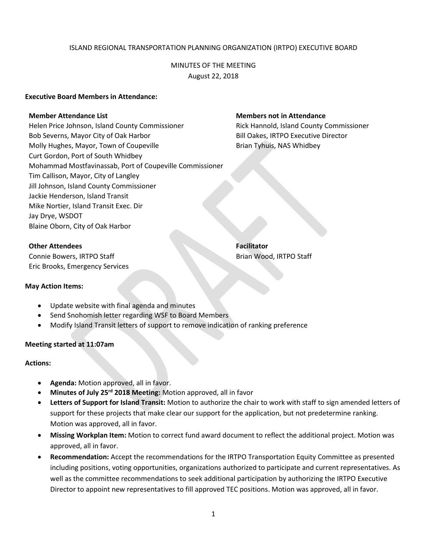## ISLAND REGIONAL TRANSPORTATION PLANNING ORGANIZATION (IRTPO) EXECUTIVE BOARD

# MINUTES OF THE MEETING August 22, 2018

#### **Executive Board Members in Attendance:**

#### **Member Attendance List Members not in Attendance**

Helen Price Johnson, Island County Commissioner Rick Hannold, Island County Commissioner Bob Severns, Mayor City of Oak Harbor Bill Oakes, IRTPO Executive Director Molly Hughes, Mayor, Town of Coupeville **Brian Tyhuis, NAS Whidbey** Curt Gordon, Port of South Whidbey Mohammad Mostfavinassab, Port of Coupeville Commissioner Tim Callison, Mayor, City of Langley Jill Johnson, Island County Commissioner Jackie Henderson, Island Transit Mike Nortier, Island Transit Exec. Dir Jay Drye, WSDOT Blaine Oborn, City of Oak Harbor

**Other Attendees Facilitator** 

Connie Bowers, IRTPO Staff Brian Wood, IRTPO Staff Brian Wood, IRTPO Staff Eric Brooks, Emergency Services

## **May Action Items:**

- Update website with final agenda and minutes
- Send Snohomish letter regarding WSF to Board Members
- Modify Island Transit letters of support to remove indication of ranking preference

## **Meeting started at 11:07am**

## **Actions:**

- **Agenda:** Motion approved, all in favor.
- **Minutes of July 25rd 2018 Meeting:** Motion approved, all in favor
- **Letters of Support for Island Transit:** Motion to authorize the chair to work with staff to sign amended letters of support for these projects that make clear our support for the application, but not predetermine ranking. Motion was approved, all in favor.
- **Missing Workplan Item:** Motion to correct fund award document to reflect the additional project. Motion was approved, all in favor.
- **Recommendation:** Accept the recommendations for the IRTPO Transportation Equity Committee as presented including positions, voting opportunities, organizations authorized to participate and current representatives. As well as the committee recommendations to seek additional participation by authorizing the IRTPO Executive Director to appoint new representatives to fill approved TEC positions. Motion was approved, all in favor.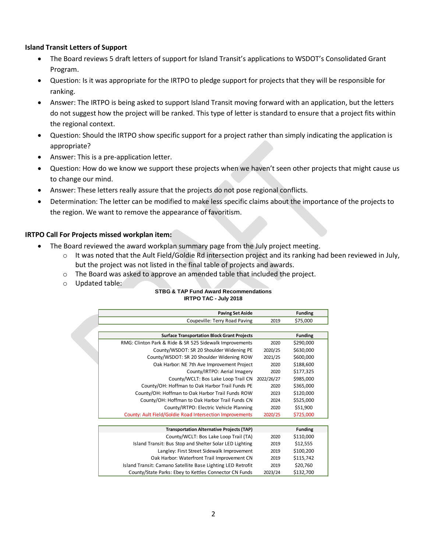## **Island Transit Letters of Support**

- The Board reviews 5 draft letters of support for Island Transit's applications to WSDOT's Consolidated Grant Program.
- Question: Is it was appropriate for the IRTPO to pledge support for projects that they will be responsible for ranking.
- Answer: The IRTPO is being asked to support Island Transit moving forward with an application, but the letters do not suggest how the project will be ranked. This type of letter is standard to ensure that a project fits within the regional context.
- Question: Should the IRTPO show specific support for a project rather than simply indicating the application is appropriate?
- Answer: This is a pre-application letter.
- Question: How do we know we support these projects when we haven't seen other projects that might cause us to change our mind.
- Answer: These letters really assure that the projects do not pose regional conflicts.
- Determination: The letter can be modified to make less specific claims about the importance of the projects to the region. We want to remove the appearance of favoritism.

## **IRTPO Call For Projects missed workplan item:**

- The Board reviewed the award workplan summary page from the July project meeting.
	- $\circ$  It was noted that the Ault Field/Goldie Rd intersection project and its ranking had been reviewed in July, but the project was not listed in the final table of projects and awards.
	- $\circ$  The Board was asked to approve an amended table that included the project.
	- o Updated table:

#### **STBG & TAP Fund Award Recommendations IRTPO TAC - July 2018**

| <b>Paving Set Aside</b>                                                                                                                      |            | <b>Funding</b> |
|----------------------------------------------------------------------------------------------------------------------------------------------|------------|----------------|
| Coupeville: Terry Road Paving                                                                                                                | 2019       | \$75,000       |
|                                                                                                                                              |            |                |
| <b>Surface Transportation Block Grant Projects</b>                                                                                           |            | <b>Funding</b> |
| RMG: Clinton Park & Ride & SR 525 Sidewalk Improvements                                                                                      | 2020       | \$290,000      |
| County/WSDOT: SR 20 Shoulder Widening PE                                                                                                     | 2020/25    | \$630,000      |
| County/WSDOT: SR 20 Shoulder Widening ROW                                                                                                    | 2021/25    | \$600,000      |
| Oak Harbor: NE 7th Ave Improvement Project                                                                                                   | 2020       | \$188,600      |
| County/IRTPO: Aerial Imagery                                                                                                                 | 2020       | \$177,325      |
| County/WCLT: Bos Lake Loop Trail CN                                                                                                          | 2022/26/27 | \$985,000      |
| County/OH: Hoffman to Oak Harbor Trail Funds PE                                                                                              | 2020       | \$365,000      |
| County/OH: Hoffman to Oak Harbor Trail Funds ROW                                                                                             | 2023       | \$120,000      |
| County/OH: Hoffman to Oak Harbor Trail Funds CN                                                                                              | 2024       | \$525,000      |
| County/IRTPO: Electric Vehicle Planning                                                                                                      | 2020       | \$51,900       |
| County: Ault Field/Goldie Road Intersection Improvements                                                                                     | 2020/25    | \$725,000      |
|                                                                                                                                              |            |                |
| <b>Transportation Alternative Projects (TAP)</b>                                                                                             |            | <b>Funding</b> |
| County/WCLT: Bos Lake Loop Trail (TA)                                                                                                        | 2020       | \$110,000      |
| $\mathbf{r}_1$ , and $\mathbf{r}_2$ , and $\mathbf{r}_3$ , and $\mathbf{r}_4$ , and $\mathbf{r}_5$ , and $\mathbf{r}_6$ , and $\mathbf{r}_7$ |            | $1.0 - - -$    |

| <b>Transportation Alternative Projects (TAP)</b>            |         | <b>Funding</b> |  |
|-------------------------------------------------------------|---------|----------------|--|
| County/WCLT: Bos Lake Loop Trail (TA)                       | 2020    | \$110,000      |  |
| Island Transit: Bus Stop and Shelter Solar LED Lighting     | 2019    | \$12.555       |  |
| Langley: First Street Sidewalk Improvement                  | 2019    | \$100,200      |  |
| Oak Harbor: Waterfront Trail Improvement CN                 | 2019    | \$115.742      |  |
| Island Transit: Camano Satellite Base Lighting LED Retrofit | 2019    | \$20,760       |  |
| County/State Parks: Ebey to Kettles Connector CN Funds      | 2023/24 | \$132.700      |  |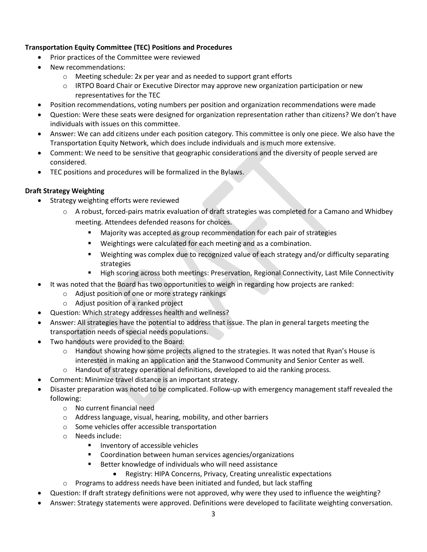# **Transportation Equity Committee (TEC) Positions and Procedures**

- Prior practices of the Committee were reviewed
- New recommendations:
	- o Meeting schedule: 2x per year and as needed to support grant efforts
	- $\circ$  IRTPO Board Chair or Executive Director may approve new organization participation or new representatives for the TEC
- Position recommendations, voting numbers per position and organization recommendations were made
- Question: Were these seats were designed for organization representation rather than citizens? We don't have individuals with issues on this committee.
- Answer: We can add citizens under each position category. This committee is only one piece. We also have the Transportation Equity Network, which does include individuals and is much more extensive.
- Comment: We need to be sensitive that geographic considerations and the diversity of people served are considered.
- TEC positions and procedures will be formalized in the Bylaws.

# **Draft Strategy Weighting**

- Strategy weighting efforts were reviewed
	- $\circ$  A robust, forced-pairs matrix evaluation of draft strategies was completed for a Camano and Whidbey meeting. Attendees defended reasons for choices.
		- Majority was accepted as group recommendation for each pair of strategies
		- Weightings were calculated for each meeting and as a combination.
		- Weighting was complex due to recognized value of each strategy and/or difficulty separating strategies
		- High scoring across both meetings: Preservation, Regional Connectivity, Last Mile Connectivity
- It was noted that the Board has two opportunities to weigh in regarding how projects are ranked:
	- o Adjust position of one or more strategy rankings
	- o Adjust position of a ranked project
- Question: Which strategy addresses health and wellness?
- Answer: All strategies have the potential to address that issue. The plan in general targets meeting the transportation needs of special needs populations.
- Two handouts were provided to the Board:
	- $\circ$  Handout showing how some projects aligned to the strategies. It was noted that Ryan's House is interested in making an application and the Stanwood Community and Senior Center as well.
	- $\circ$  Handout of strategy operational definitions, developed to aid the ranking process.
- Comment: Minimize travel distance is an important strategy.
- Disaster preparation was noted to be complicated. Follow-up with emergency management staff revealed the following:
	- o No current financial need
	- o Address language, visual, hearing, mobility, and other barriers
	- o Some vehicles offer accessible transportation
	- o Needs include:
		- **Inventory of accessible vehicles**
		- Coordination between human services agencies/organizations
		- Better knowledge of individuals who will need assistance
			- Registry: HIPA Concerns, Privacy, Creating unrealistic expectations
	- o Programs to address needs have been initiated and funded, but lack staffing
- Question: If draft strategy definitions were not approved, why were they used to influence the weighting?
- Answer: Strategy statements were approved. Definitions were developed to facilitate weighting conversation.